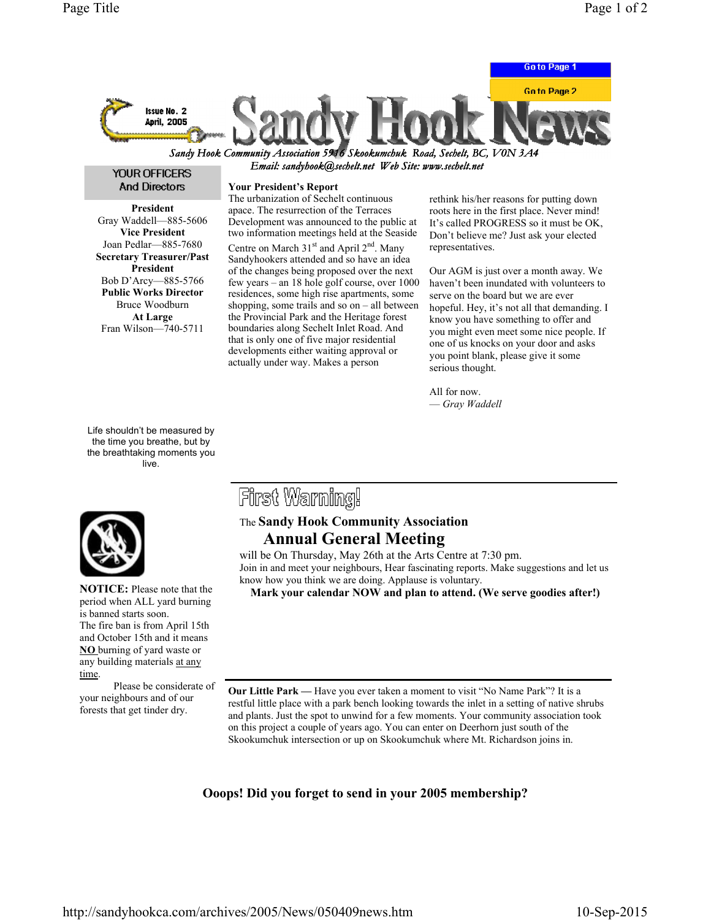

Email: sandyhook@sechelt.net Web Site: www.sechelt.net

### YOUR OFFICERS And Directors

President Gray Waddell—885-5606 Vice President Joan Pedlar—885-7680 Secretary Treasurer/Past President Bob D'Arcy—885-5766 Public Works Director Bruce Woodburn At Large Fran Wilson—740-5711

Life shouldn't be measured by the time you breathe, but by the breathtaking moments you live.



NOTICE: Please note that the period when ALL yard burning is banned starts soon. The fire ban is from April 15th and October 15th and it means NO burning of yard waste or any building materials at any time.

 Please be considerate of your neighbours and of our forests that get tinder dry.

#### Your President's Report

The urbanization of Sechelt continuous apace. The resurrection of the Terraces Development was announced to the public at two information meetings held at the Seaside Centre on March  $31<sup>st</sup>$  and April  $2<sup>nd</sup>$ . Many Sandyhookers attended and so have an idea of the changes being proposed over the next few years – an 18 hole golf course, over 1000 residences, some high rise apartments, some shopping, some trails and so on  $-$  all between the Provincial Park and the Heritage forest boundaries along Sechelt Inlet Road. And that is only one of five major residential developments either waiting approval or actually under way. Makes a person

rethink his/her reasons for putting down roots here in the first place. Never mind! It's called PROGRESS so it must be OK, Don't believe me? Just ask your elected representatives.

Our AGM is just over a month away. We haven't been inundated with volunteers to serve on the board but we are ever hopeful. Hey, it's not all that demanding. I know you have something to offer and you might even meet some nice people. If one of us knocks on your door and asks you point blank, please give it some serious thought.

All for now. — Gray Waddell

# First Warning!

## The Sandy Hook Community Association Annual General Meeting

will be On Thursday, May 26th at the Arts Centre at 7:30 pm. Join in and meet your neighbours, Hear fascinating reports. Make suggestions and let us know how you think we are doing. Applause is voluntary.

Mark your calendar NOW and plan to attend. (We serve goodies after!)

Our Little Park — Have you ever taken a moment to visit "No Name Park"? It is a restful little place with a park bench looking towards the inlet in a setting of native shrubs and plants. Just the spot to unwind for a few moments. Your community association took on this project a couple of years ago. You can enter on Deerhorn just south of the Skookumchuk intersection or up on Skookumchuk where Mt. Richardson joins in.

### Ooops! Did you forget to send in your 2005 membership?